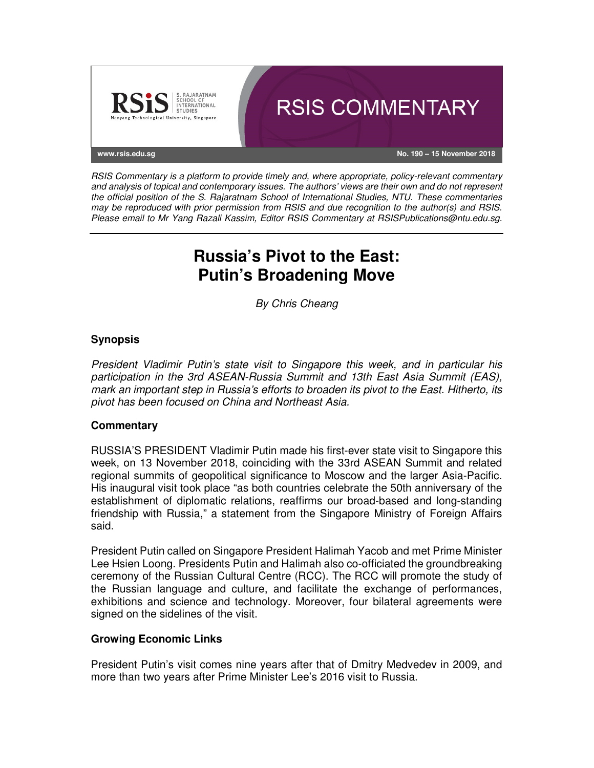

RSIS Commentary is a platform to provide timely and, where appropriate, policy-relevant commentary and analysis of topical and contemporary issues. The authors' views are their own and do not represent the official position of the S. Rajaratnam School of International Studies, NTU. These commentaries may be reproduced with prior permission from RSIS and due recognition to the author(s) and RSIS. Please email to Mr Yang Razali Kassim, Editor RSIS Commentary at RSISPublications@ntu.edu.sg.

# **Russia's Pivot to the East: Putin's Broadening Move**

By Chris Cheang

## **Synopsis**

President Vladimir Putin's state visit to Singapore this week, and in particular his participation in the 3rd ASEAN-Russia Summit and 13th East Asia Summit (EAS), mark an important step in Russia's efforts to broaden its pivot to the East. Hitherto, its pivot has been focused on China and Northeast Asia.

### **Commentary**

RUSSIA'S PRESIDENT Vladimir Putin made his first-ever state visit to Singapore this week, on 13 November 2018, coinciding with the 33rd ASEAN Summit and related regional summits of geopolitical significance to Moscow and the larger Asia-Pacific. His inaugural visit took place "as both countries celebrate the 50th anniversary of the establishment of diplomatic relations, reaffirms our broad-based and long-standing friendship with Russia," a statement from the Singapore Ministry of Foreign Affairs said.

President Putin called on Singapore President Halimah Yacob and met Prime Minister Lee Hsien Loong. Presidents Putin and Halimah also co-officiated the groundbreaking ceremony of the Russian Cultural Centre (RCC). The RCC will promote the study of the Russian language and culture, and facilitate the exchange of performances, exhibitions and science and technology. Moreover, four bilateral agreements were signed on the sidelines of the visit.

### **Growing Economic Links**

President Putin's visit comes nine years after that of Dmitry Medvedev in 2009, and more than two years after Prime Minister Lee's 2016 visit to Russia.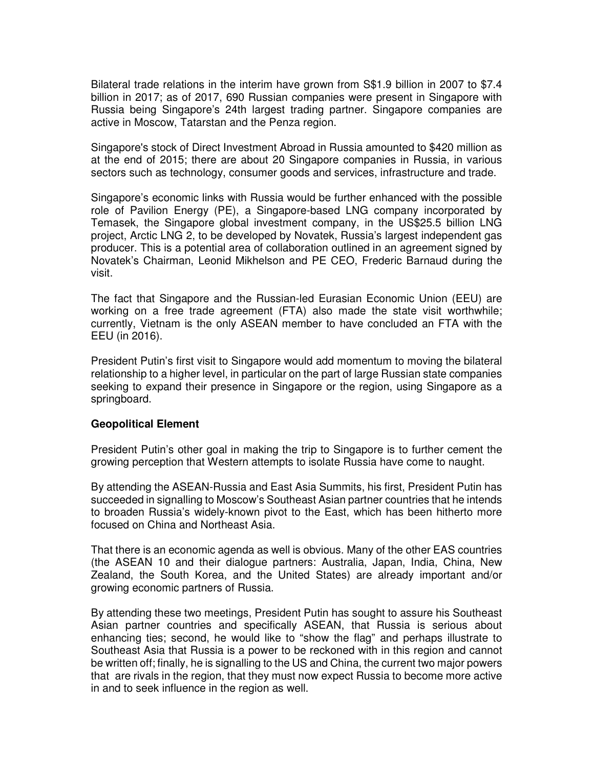Bilateral trade relations in the interim have grown from S\$1.9 billion in 2007 to \$7.4 billion in 2017; as of 2017, 690 Russian companies were present in Singapore with Russia being Singapore's 24th largest trading partner. Singapore companies are active in Moscow, Tatarstan and the Penza region.

Singapore's stock of Direct Investment Abroad in Russia amounted to \$420 million as at the end of 2015; there are about 20 Singapore companies in Russia, in various sectors such as technology, consumer goods and services, infrastructure and trade.

Singapore's economic links with Russia would be further enhanced with the possible role of Pavilion Energy (PE), a Singapore-based LNG company incorporated by Temasek, the Singapore global investment company, in the US\$25.5 billion LNG project, Arctic LNG 2, to be developed by Novatek, Russia's largest independent gas producer. This is a potential area of collaboration outlined in an agreement signed by Novatek's Chairman, Leonid Mikhelson and PE CEO, Frederic Barnaud during the visit.

The fact that Singapore and the Russian-led Eurasian Economic Union (EEU) are working on a free trade agreement (FTA) also made the state visit worthwhile; currently, Vietnam is the only ASEAN member to have concluded an FTA with the EEU (in 2016).

President Putin's first visit to Singapore would add momentum to moving the bilateral relationship to a higher level, in particular on the part of large Russian state companies seeking to expand their presence in Singapore or the region, using Singapore as a springboard.

### **Geopolitical Element**

President Putin's other goal in making the trip to Singapore is to further cement the growing perception that Western attempts to isolate Russia have come to naught.

By attending the ASEAN-Russia and East Asia Summits, his first, President Putin has succeeded in signalling to Moscow's Southeast Asian partner countries that he intends to broaden Russia's widely-known pivot to the East, which has been hitherto more focused on China and Northeast Asia.

That there is an economic agenda as well is obvious. Many of the other EAS countries (the ASEAN 10 and their dialogue partners: Australia, Japan, India, China, New Zealand, the South Korea, and the United States) are already important and/or growing economic partners of Russia.

By attending these two meetings, President Putin has sought to assure his Southeast Asian partner countries and specifically ASEAN, that Russia is serious about enhancing ties; second, he would like to "show the flag" and perhaps illustrate to Southeast Asia that Russia is a power to be reckoned with in this region and cannot be written off; finally, he is signalling to the US and China, the current two major powers that are rivals in the region, that they must now expect Russia to become more active in and to seek influence in the region as well.